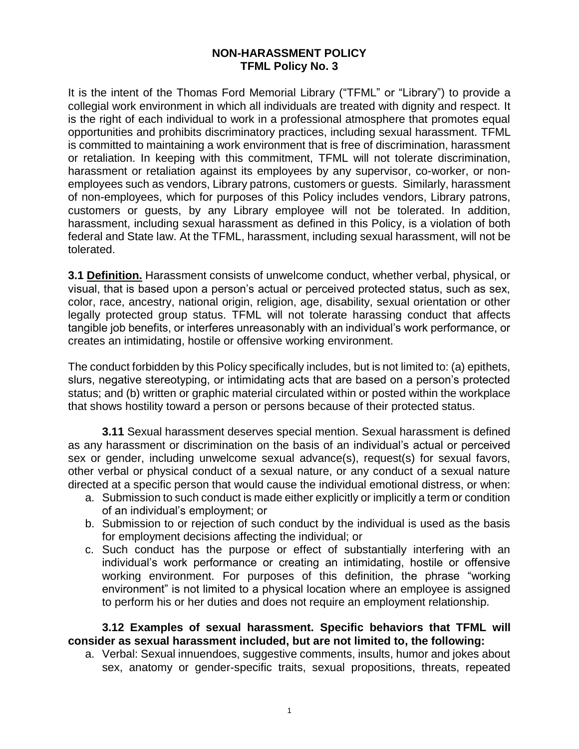### **NON-HARASSMENT POLICY TFML Policy No. 3**

It is the intent of the Thomas Ford Memorial Library ("TFML" or "Library") to provide a collegial work environment in which all individuals are treated with dignity and respect. It is the right of each individual to work in a professional atmosphere that promotes equal opportunities and prohibits discriminatory practices, including sexual harassment. TFML is committed to maintaining a work environment that is free of discrimination, harassment or retaliation. In keeping with this commitment, TFML will not tolerate discrimination, harassment or retaliation against its employees by any supervisor, co-worker, or nonemployees such as vendors, Library patrons, customers or guests. Similarly, harassment of non-employees, which for purposes of this Policy includes vendors, Library patrons, customers or guests, by any Library employee will not be tolerated. In addition, harassment, including sexual harassment as defined in this Policy, is a violation of both federal and State law. At the TFML, harassment, including sexual harassment, will not be tolerated.

**3.1 Definition.** Harassment consists of unwelcome conduct, whether verbal, physical, or visual, that is based upon a person's actual or perceived protected status, such as sex, color, race, ancestry, national origin, religion, age, disability, sexual orientation or other legally protected group status. TFML will not tolerate harassing conduct that affects tangible job benefits, or interferes unreasonably with an individual's work performance, or creates an intimidating, hostile or offensive working environment.

The conduct forbidden by this Policy specifically includes, but is not limited to: (a) epithets, slurs, negative stereotyping, or intimidating acts that are based on a person's protected status; and (b) written or graphic material circulated within or posted within the workplace that shows hostility toward a person or persons because of their protected status.

**3.11** Sexual harassment deserves special mention. Sexual harassment is defined as any harassment or discrimination on the basis of an individual's actual or perceived sex or gender, including unwelcome sexual advance(s), request(s) for sexual favors, other verbal or physical conduct of a sexual nature, or any conduct of a sexual nature directed at a specific person that would cause the individual emotional distress, or when:

- a. Submission to such conduct is made either explicitly or implicitly a term or condition of an individual's employment; or
- b. Submission to or rejection of such conduct by the individual is used as the basis for employment decisions affecting the individual; or
- c. Such conduct has the purpose or effect of substantially interfering with an individual's work performance or creating an intimidating, hostile or offensive working environment. For purposes of this definition, the phrase "working environment" is not limited to a physical location where an employee is assigned to perform his or her duties and does not require an employment relationship.

**3.12 Examples of sexual harassment. Specific behaviors that TFML will consider as sexual harassment included, but are not limited to, the following:**

a. Verbal: Sexual innuendoes, suggestive comments, insults, humor and jokes about sex, anatomy or gender-specific traits, sexual propositions, threats, repeated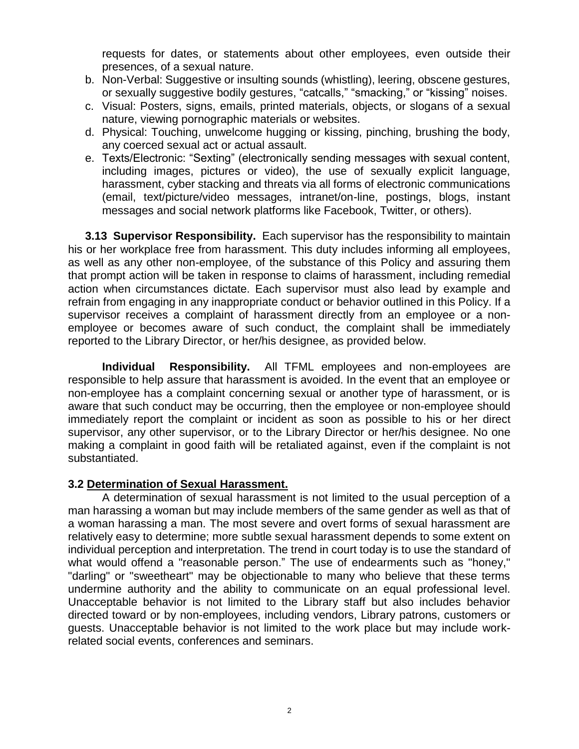requests for dates, or statements about other employees, even outside their presences, of a sexual nature.

- b. Non-Verbal: Suggestive or insulting sounds (whistling), leering, obscene gestures, or sexually suggestive bodily gestures, "catcalls," "smacking," or "kissing" noises.
- c. Visual: Posters, signs, emails, printed materials, objects, or slogans of a sexual nature, viewing pornographic materials or websites.
- d. Physical: Touching, unwelcome hugging or kissing, pinching, brushing the body, any coerced sexual act or actual assault.
- e. Texts/Electronic: "Sexting" (electronically sending messages with sexual content, including images, pictures or video), the use of sexually explicit language, harassment, cyber stacking and threats via all forms of electronic communications (email, text/picture/video messages, intranet/on-line, postings, blogs, instant messages and social network platforms like Facebook, Twitter, or others).

**3.13 Supervisor Responsibility.** Each supervisor has the responsibility to maintain his or her workplace free from harassment. This duty includes informing all employees, as well as any other non-employee, of the substance of this Policy and assuring them that prompt action will be taken in response to claims of harassment, including remedial action when circumstances dictate. Each supervisor must also lead by example and refrain from engaging in any inappropriate conduct or behavior outlined in this Policy. If a supervisor receives a complaint of harassment directly from an employee or a nonemployee or becomes aware of such conduct, the complaint shall be immediately reported to the Library Director, or her/his designee, as provided below.

**Individual Responsibility.** All TFML employees and non-employees are responsible to help assure that harassment is avoided. In the event that an employee or non-employee has a complaint concerning sexual or another type of harassment, or is aware that such conduct may be occurring, then the employee or non-employee should immediately report the complaint or incident as soon as possible to his or her direct supervisor, any other supervisor, or to the Library Director or her/his designee. No one making a complaint in good faith will be retaliated against, even if the complaint is not substantiated.

# **3.2 Determination of Sexual Harassment.**

A determination of sexual harassment is not limited to the usual perception of a man harassing a woman but may include members of the same gender as well as that of a woman harassing a man. The most severe and overt forms of sexual harassment are relatively easy to determine; more subtle sexual harassment depends to some extent on individual perception and interpretation. The trend in court today is to use the standard of what would offend a "reasonable person." The use of endearments such as "honey," "darling" or "sweetheart" may be objectionable to many who believe that these terms undermine authority and the ability to communicate on an equal professional level. Unacceptable behavior is not limited to the Library staff but also includes behavior directed toward or by non-employees, including vendors, Library patrons, customers or guests. Unacceptable behavior is not limited to the work place but may include workrelated social events, conferences and seminars.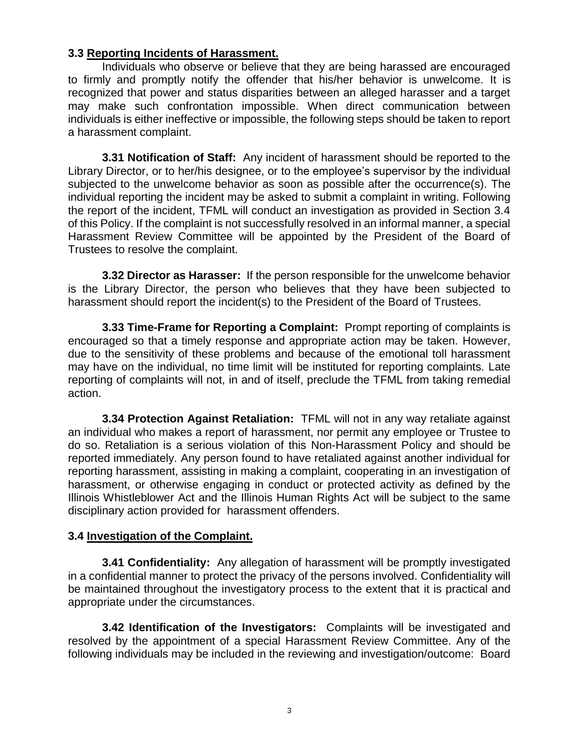# **3.3 Reporting Incidents of Harassment.**

Individuals who observe or believe that they are being harassed are encouraged to firmly and promptly notify the offender that his/her behavior is unwelcome. It is recognized that power and status disparities between an alleged harasser and a target may make such confrontation impossible. When direct communication between individuals is either ineffective or impossible, the following steps should be taken to report a harassment complaint.

**3.31 Notification of Staff:** Any incident of harassment should be reported to the Library Director, or to her/his designee, or to the employee's supervisor by the individual subjected to the unwelcome behavior as soon as possible after the occurrence(s). The individual reporting the incident may be asked to submit a complaint in writing. Following the report of the incident, TFML will conduct an investigation as provided in Section 3.4 of this Policy. If the complaint is not successfully resolved in an informal manner, a special Harassment Review Committee will be appointed by the President of the Board of Trustees to resolve the complaint.

**3.32 Director as Harasser:** If the person responsible for the unwelcome behavior is the Library Director, the person who believes that they have been subjected to harassment should report the incident(s) to the President of the Board of Trustees.

**3.33 Time-Frame for Reporting a Complaint:** Prompt reporting of complaints is encouraged so that a timely response and appropriate action may be taken. However, due to the sensitivity of these problems and because of the emotional toll harassment may have on the individual, no time limit will be instituted for reporting complaints. Late reporting of complaints will not, in and of itself, preclude the TFML from taking remedial action.

**3.34 Protection Against Retaliation:** TFML will not in any way retaliate against an individual who makes a report of harassment, nor permit any employee or Trustee to do so. Retaliation is a serious violation of this Non-Harassment Policy and should be reported immediately. Any person found to have retaliated against another individual for reporting harassment, assisting in making a complaint, cooperating in an investigation of harassment, or otherwise engaging in conduct or protected activity as defined by the Illinois Whistleblower Act and the Illinois Human Rights Act will be subject to the same disciplinary action provided for harassment offenders.

# **3.4 Investigation of the Complaint.**

**3.41 Confidentiality:** Any allegation of harassment will be promptly investigated in a confidential manner to protect the privacy of the persons involved. Confidentiality will be maintained throughout the investigatory process to the extent that it is practical and appropriate under the circumstances.

**3.42 Identification of the Investigators:** Complaints will be investigated and resolved by the appointment of a special Harassment Review Committee. Any of the following individuals may be included in the reviewing and investigation/outcome: Board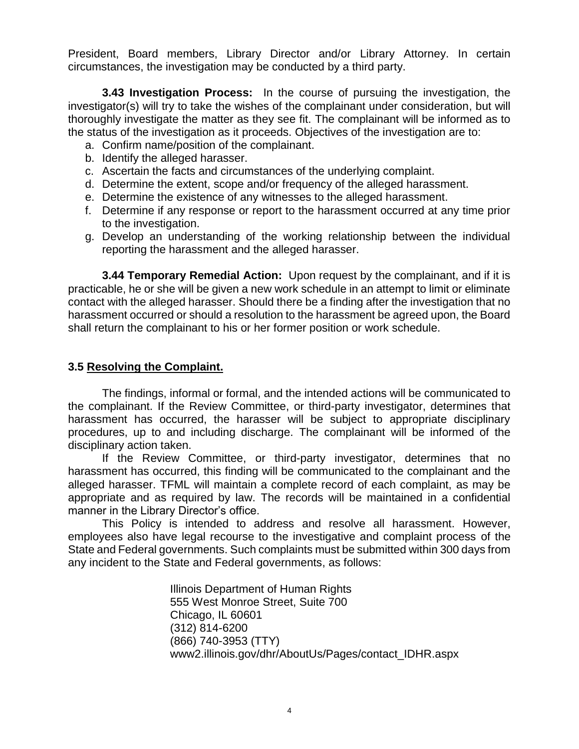President, Board members, Library Director and/or Library Attorney. In certain circumstances, the investigation may be conducted by a third party.

**3.43 Investigation Process:** In the course of pursuing the investigation, the investigator(s) will try to take the wishes of the complainant under consideration, but will thoroughly investigate the matter as they see fit. The complainant will be informed as to the status of the investigation as it proceeds. Objectives of the investigation are to:

- a. Confirm name/position of the complainant.
- b. Identify the alleged harasser.
- c. Ascertain the facts and circumstances of the underlying complaint.
- d. Determine the extent, scope and/or frequency of the alleged harassment.
- e. Determine the existence of any witnesses to the alleged harassment.
- f. Determine if any response or report to the harassment occurred at any time prior to the investigation.
- g. Develop an understanding of the working relationship between the individual reporting the harassment and the alleged harasser.

**3.44 Temporary Remedial Action:** Upon request by the complainant, and if it is practicable, he or she will be given a new work schedule in an attempt to limit or eliminate contact with the alleged harasser. Should there be a finding after the investigation that no harassment occurred or should a resolution to the harassment be agreed upon, the Board shall return the complainant to his or her former position or work schedule.

# **3.5 Resolving the Complaint.**

The findings, informal or formal, and the intended actions will be communicated to the complainant. If the Review Committee, or third-party investigator, determines that harassment has occurred, the harasser will be subject to appropriate disciplinary procedures, up to and including discharge. The complainant will be informed of the disciplinary action taken.

If the Review Committee, or third-party investigator, determines that no harassment has occurred, this finding will be communicated to the complainant and the alleged harasser. TFML will maintain a complete record of each complaint, as may be appropriate and as required by law. The records will be maintained in a confidential manner in the Library Director's office.

This Policy is intended to address and resolve all harassment. However, employees also have legal recourse to the investigative and complaint process of the State and Federal governments. Such complaints must be submitted within 300 days from any incident to the State and Federal governments, as follows:

> Illinois Department of Human Rights 555 West Monroe Street, Suite 700 Chicago, IL 60601 (312) 814-6200 (866) 740-3953 (TTY) www2.illinois.gov/dhr/AboutUs/Pages/contact\_IDHR.aspx